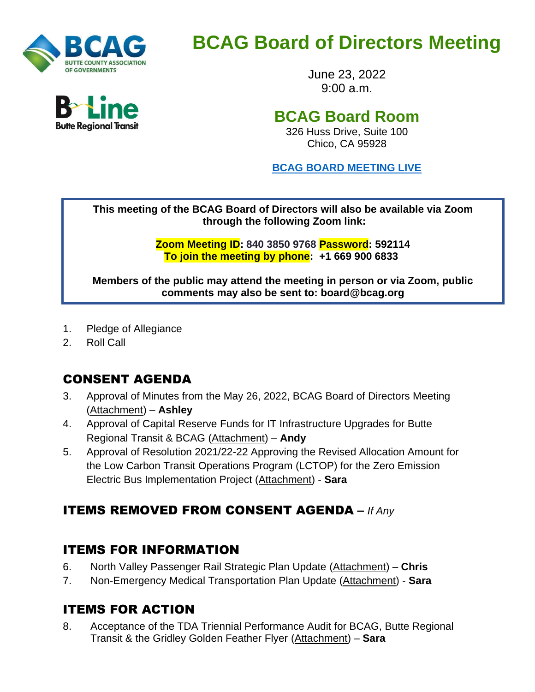

# **BCAG Board of Directors Meeting**

June 23, 2022 9:00 a.m.

## **BCAG Board Room**

326 Huss Drive, Suite 100 Chico, CA 95928

**BCAG BOARD [MEETING](https://us02web.zoom.us/j/84038509768?pwd=NUJzRHk5bDdqK0JidHhWOXk2UEtKdz09) LIVE**

**This meeting of the BCAG Board of Directors will also be available via Zoom through the following Zoom link:**

> **Zoom Meeting ID: 840 3850 9768 Password: 592114 To join the meeting by phone: +1 669 900 6833**

**Members of the public may attend the meeting in person or via Zoom, public comments may also be sent to: board@bcag.org**

- 1. Pledge of Allegiance
- 2. Roll Call

## CONSENT AGENDA

- 3. Approval of Minutes from the May 26, 2022, BCAG Board of Directors Meeting (Attachment) – **Ashley**
- 4. Approval of Capital Reserve Funds for IT Infrastructure Upgrades for Butte Regional Transit & BCAG (Attachment) – **Andy**
- 5. Approval of Resolution 2021/22-22 Approving the Revised Allocation Amount for the Low Carbon Transit Operations Program (LCTOP) for the Zero Emission Electric Bus Implementation Project (Attachment) - **Sara**

## ITEMS REMOVED FROM CONSENT AGENDA **–** *If Any*

#### ITEMS FOR INFORMATION

- 6. North Valley Passenger Rail Strategic Plan Update (Attachment) **Chris**
- 7. Non-Emergency Medical Transportation Plan Update (Attachment) **Sara**

## ITEMS FOR ACTION

8. Acceptance of the TDA Triennial Performance Audit for BCAG, Butte Regional Transit & the Gridley Golden Feather Flyer (Attachment) – **Sara**